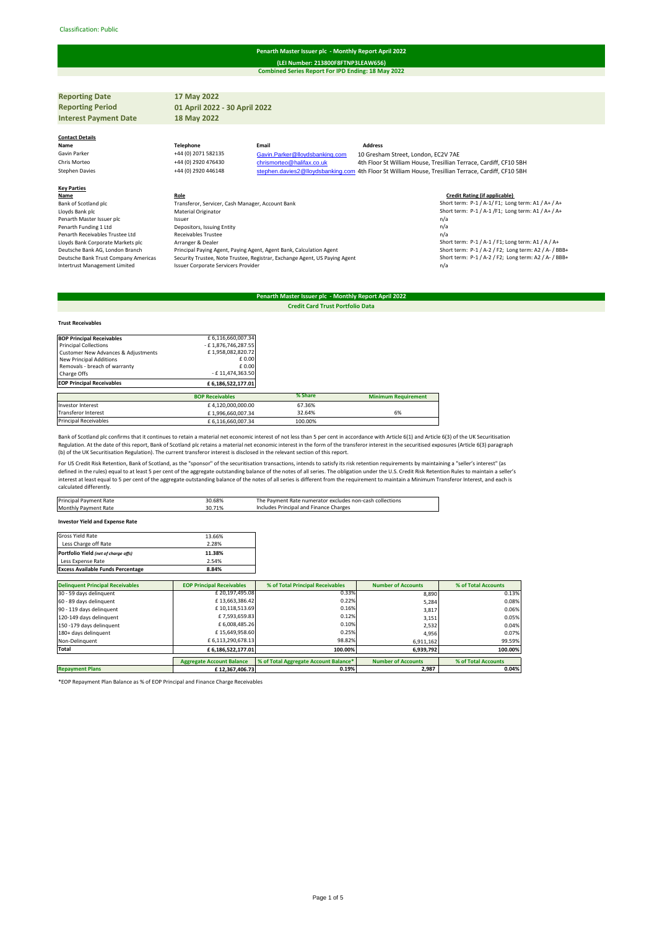### Classification: Public#

# **Penarth Master Issuer plc - Monthly Report April 2022**

**Combined Series Report For IPD Ending: 18 May 2022 (LEI Number: 213800F8FTNP3LEAW656)**

| <b>Reporting Date</b>           | 17 May 2022                                      |                                |                                                                                                     |
|---------------------------------|--------------------------------------------------|--------------------------------|-----------------------------------------------------------------------------------------------------|
| <b>Reporting Period</b>         | 01 April 2022 - 30 April 2022                    |                                |                                                                                                     |
| <b>Interest Payment Date</b>    | 18 May 2022                                      |                                |                                                                                                     |
|                                 |                                                  |                                |                                                                                                     |
| <b>Contact Details</b>          |                                                  |                                | <b>Address</b>                                                                                      |
| Name                            | <b>Telephone</b>                                 | Email                          |                                                                                                     |
| Gavin Parker                    | +44 (0) 2071 582135                              | Gavin.Parker@lloydsbanking.com | 10 Gresham Street, London, EC2V 7AE                                                                 |
| Chris Morteo                    | +44 (0) 2920 476430                              | chrismorteo@halifax.co.uk      | 4th Floor St William House, Tresillian Terrace, Cardiff, CF10 5BH                                   |
| <b>Stephen Davies</b>           | +44 (0) 2920 446148                              |                                | stephen.davies2@lloydsbanking.com 4th Floor St William House, Tresillian Terrace, Cardiff, CF10 5BH |
| <b>Key Parties</b>              |                                                  |                                |                                                                                                     |
| Name                            | Role                                             |                                | <b>Credit Rating (if applicable)</b>                                                                |
| Bank of Scotland plc            | Transferor, Servicer, Cash Manager, Account Bank |                                | Short term: P-1 / A-1/ F1; Long term: A1 / A+ / A+                                                  |
| Lloyds Bank plc                 | Material Originator                              |                                | Short term: P-1 / A-1 /F1; Long term: A1 / A+ / A+                                                  |
| Penarth Master Issuer plc       | Issuer                                           |                                | n/a                                                                                                 |
| Penarth Funding 1 Ltd           | Depositors, Issuing Entity                       |                                | n/a                                                                                                 |
| Penarth Receivables Trustee Ltd | Receivables Trustee                              |                                | n/a                                                                                                 |
| .                               | $\sim$ $\sim$ $\sim$                             |                                |                                                                                                     |

Lloyds Bank Corporate Markets plc = Arranger & Dealer مسافر Arranger & Dealer Archanger & Dealer And The Short term: P-1 / A-1 / F1; Long term: A1 / A / A+<br>18B4 Short term: P-1 / A-2 / F2; Long term: A2 / A- / BBB+ المساف Deutsche Bank AG, London Branch Americas public Procipal Paying Agent, Paying Agent, Agent Bank, Calculation Agent<br>Deutsche Bank Trust Company Americas Security Trustee, Note Trustee, Registrar, Exchange Agent, US Paying A Issuer Corporate Servicers Provider

# **Penarth Master Issuer plc - Monthly Report April 2022**

**Credit Card Trust Portfolio Data**

#### **Trust Receivables**

| <b>BOP Principal Receivables</b>    | £ 6,116,660,007.34     |         |                            |
|-------------------------------------|------------------------|---------|----------------------------|
| <b>Principal Collections</b>        | - £1,876,746,287.55    |         |                            |
| Customer New Advances & Adjustments | £1,958,082,820.72      |         |                            |
| New Principal Additions             | £0.00                  |         |                            |
| Removals - breach of warranty       | £0.00                  |         |                            |
| Charge Offs                         | - £11.474.363.50       |         |                            |
| <b>EOP Principal Receivables</b>    | £6,186,522,177.01      |         |                            |
|                                     | <b>BOP Receivables</b> | % Share | <b>Minimum Requirement</b> |
| Investor Interest                   | £4.120.000.000.00      | 67.36%  |                            |
| Transferor Interest                 | £1,996,660,007.34      | 32.64%  | 6%                         |
| <b>Principal Receivables</b>        | £6.116.660.007.34      | 100.00% |                            |

Bank of Scotland plc confirms that it continues to retain a material net economic interest of not less than 5 per cent in accordance with Article 6(1) and Article 6(3) of the UK Securitisation Regulation. At the date of this report, Bank of Scotland plc retains a material net economic interest in the form of the transferor interest in the securitised exposures (Article 6(3) paragraph<br>(b) of the UK Securitisation

For US Credit Risk Retention, Bank of Scotland, as the "sponsor" of the securitisation transactions, intends to satisfy its risk retention requirements by maintaining a "seller's interest" (as defined in the rules) equal to at least 5 per cent of the aggregate outstanding balance of the notes of all series. The obligation under the U.S. Credit Risk Retention Rules to maintain a seller's<br>interest at least equal t calculated differently.

| Principal Payment Rate           | 30.68% | The Payment Rate numerator excludes non-cash collections |
|----------------------------------|--------|----------------------------------------------------------|
| Monthly Payment Rate             | 30.71% | Includes Principal and Finance Charges                   |
|                                  |        |                                                          |
| torrested Weld and Frances Batel |        |                                                          |

# **Investor Yield and Expense Rate**

| Gross Yield Rate                         | 13.66% |
|------------------------------------------|--------|
| Less Charge off Rate                     | 2.28%  |
| Portfolio Yield (net of charge offs)     | 11.38% |
| Less Expense Rate                        | 2.54%  |
| <b>Excess Available Funds Percentage</b> | 8.84%  |

| <b>Delinquent Principal Receivables</b> | <b>EOP Principal Receivables</b> | % of Total Principal Receivables      | <b>Number of Accounts</b> | % of Total Accounts |
|-----------------------------------------|----------------------------------|---------------------------------------|---------------------------|---------------------|
| 30 - 59 days delinquent                 | £20,197,495.08                   | 0.33%                                 | 8.890                     | 0.13%               |
| 60 - 89 days delinguent                 | £13,663,386.42                   | 0.22%                                 | 5,284                     | 0.08%               |
| 90 - 119 days delinquent                | £10,118,513.69                   | 0.16%                                 | 3,817                     | 0.06%               |
| 120-149 days delinquent                 | £7,593,659.83                    | 0.12%                                 | 3,151                     | 0.05%               |
| 150 -179 days delinquent                | £ 6,008,485.26                   | 0.10%                                 | 2.532                     | 0.04%               |
| 180+ days delinquent                    | £15.649.958.60                   | 0.25%                                 | 4.956                     | 0.07%               |
| Non-Delinquent                          | £ 6,113,290,678.13               | 98.82%                                | 6,911,162                 | 99.59%              |
| Total                                   | £6,186,522,177.01                | 100.00%                               | 6,939,792                 | 100.00%             |
|                                         | <b>Aggregate Account Balance</b> | % of Total Aggregate Account Balance* | <b>Number of Accounts</b> | % of Total Accounts |
|                                         |                                  |                                       |                           |                     |
| <b>Repayment Plans</b>                  | £12.367.406.73                   | 0.19%                                 | 2.987                     | 0.04%               |

\*EOP Repayment Plan Balance as % of EOP Principal and Finance Charge Receivables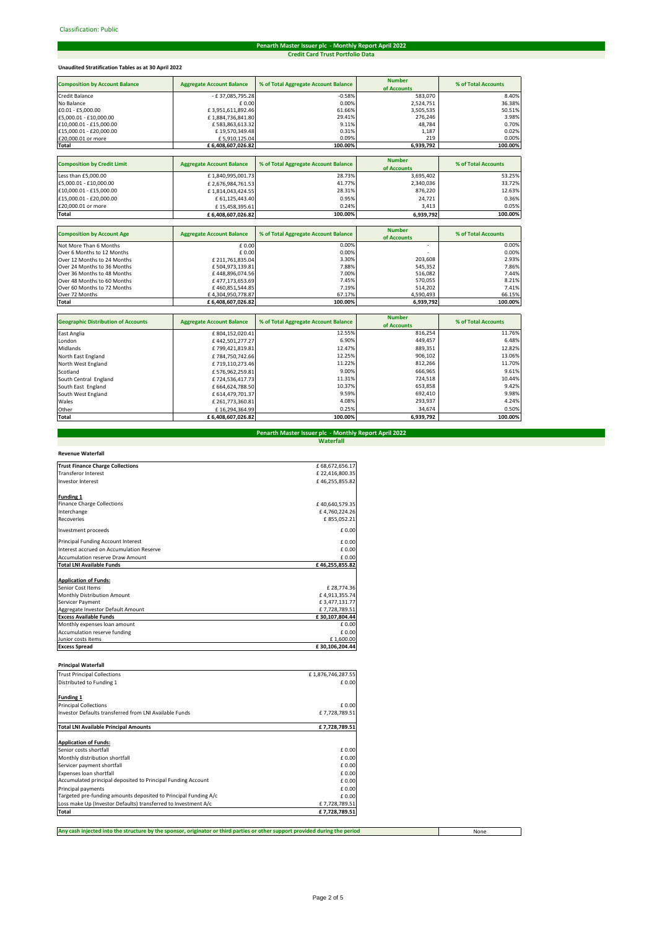# **Penarth Master Issuer plc - Monthly Report April 2022 Credit Card Trust Portfolio Data**

# **Unaudited Stratification Tables as at 30 April 2022**

| <b>Composition by Account Balance</b> | <b>Aggregate Account Balance</b> | % of Total Aggregate Account Balance | <b>Number</b><br>of Accounts | % of Total Accounts |
|---------------------------------------|----------------------------------|--------------------------------------|------------------------------|---------------------|
| Credit Balance                        | - £37,085,795.28                 | $-0.58%$                             | 583,070                      | 8.40%               |
| No Balance                            | £ 0.00                           | 0.00%                                | 2,524,751                    | 36.38%              |
| £0.01 - £5.000.00                     | £3,951,611,892.46                | 61.66%                               | 3,505,535                    | 50.51%              |
| £5,000.01 - £10,000.00                | £1,884,736,841.80                | 29.41%                               | 276,246                      | 3.98%               |
| £10,000.01 - £15,000.00               | £583,863,613.32                  | 9.11%                                | 48.784                       | 0.70%               |
| £15,000.01 - £20,000.00               | £19,570,349.48                   | 0.31%                                | 1.187                        | 0.02%               |
| £20,000.01 or more                    | £5,910,125.04                    | 0.09%                                | 219                          | 0.00%               |
| <b>Total</b>                          | £6,408,607,026.82                | 100.00%                              | 6,939,792                    | 100.00%             |
|                                       |                                  |                                      |                              |                     |
| <b>Composition by Credit Limit</b>    | <b>Aggregate Account Balance</b> | % of Total Aggregate Account Balance | <b>Number</b><br>of Accounts | % of Total Accounts |
| Less than £5,000.00                   | £1,840,995,001.73                | 28.73%                               | 3,695,402                    | 53.25%              |
| £5,000.01 - £10,000.00                | £2,676,984,761.53                | 41.77%                               | 2,340,036                    | 33.72%              |
| £10.000.01 - £15.000.00               | £1,814,043,424.55                | 28.31%                               | 876,220                      | 12.63%              |
| £15,000.01 - £20,000.00               | £ 61,125,443.40                  | 0.95%                                | 24,721                       | 0.36%               |
| £20,000.01 or more                    | £15,458,395.61                   | 0.24%                                | 3,413                        | 0.05%               |
| Total                                 | £6.408.607.026.82                | 100.00%                              | 6,939,792                    | 100.00%             |
|                                       |                                  |                                      |                              |                     |
| <b>Composition by Account Age</b>     | <b>Aggregate Account Balance</b> | % of Total Aggregate Account Balance | <b>Number</b><br>of Accounts | % of Total Accounts |
| Not More Than 6 Months                | £0.00                            | 0.00%                                |                              | 0.00%               |
| Over 6 Months to 12 Months            | £0.00                            | 0.00%                                |                              | 0.00%               |
| Over 12 Months to 24 Months           | £ 211,761,835.04                 | 3.30%                                | 203.608                      | 2.93%               |
| Over 24 Months to 36 Months           | £504,973,139.81                  | 7.88%                                | 545,352                      | 7.86%               |

| Total                                      | £6,408,607,026.82                | 100.00%                              | 6,939,792     | 100.00%             |
|--------------------------------------------|----------------------------------|--------------------------------------|---------------|---------------------|
|                                            |                                  |                                      |               |                     |
| <b>Geographic Distribution of Accounts</b> | <b>Aggregate Account Balance</b> | % of Total Aggregate Account Balance | <b>Number</b> | % of Total Accounts |
|                                            |                                  |                                      | of Accounts   |                     |
| East Anglia                                | £804,152,020.41                  | 12.55%                               | 816,254       | 11.76%              |
| London                                     | £442,501,277.27                  | 6.90%                                | 449,457       | 6.48%               |
| Midlands                                   | £799,421,819.81                  | 12.47%                               | 889,351       | 12.82%              |
| North East England                         | £784,750,742.66                  | 12.25%                               | 906,102       | 13.06%              |
| North West England                         | £719,110,273.46                  | 11.22%                               | 812,266       | 11.70%              |
| Scotland                                   | £576,962,259.81                  | 9.00%                                | 666,965       | 9.61%               |
| South Central England                      | £724.536.417.73                  | 11.31%                               | 724,518       | 10.44%              |
| South East England                         | £664,624,788.50                  | 10.37%                               | 653,858       | 9.42%               |
| South West England                         | £ 614.479.701.37                 | 9.59%                                | 692,410       | 9.98%               |
| Wales                                      | £261,773,360.81                  | 4.08%                                | 293,937       | 4.24%               |
| Other                                      | £16.294.364.99                   | 0.25%                                | 34.674        | 0.50%               |
| Total                                      | £6,408,607,026.82                | 100.00%                              | 6,939,792     | 100.00%             |

Over 36 Months to 48 Months £ 448,896,074.56 7.00% 516,082 7.44% Over 48 Months to 60 Months £ 477,173,653.69 7.45% 570,055 8.21% Over 60 Months to 72 Months £ 460,851,544.85 7.19% 514,202 7.41% Over 72 Months £ 4,304,950,778.87 67.17% 4,590,493 66.15%

# **Waterfall Penarth Master Issuer plc - Monthly Report April 2022**

| <b>Trust Finance Charge Collections</b>  | £68.672.656.17 |
|------------------------------------------|----------------|
| <b>Transferor Interest</b>               | £22.416.800.35 |
|                                          |                |
| Investor Interest                        | £46.255.855.82 |
| <b>Funding 1</b>                         |                |
| <b>Finance Charge Collections</b>        | £40,640,579.35 |
| Interchange                              | £4,760,224,26  |
| <b>Recoveries</b>                        | £855.052.21    |
| Investment proceeds                      | $f$ 0.00       |
| Principal Funding Account Interest       | £ 0.00         |
| Interest accrued on Accumulation Reserve | £ 0.00         |
| <b>Accumulation reserve Draw Amount</b>  | £ 0.00         |
| <b>Total LNI Available Funds</b>         | £46,255,855.82 |
| <b>Application of Funds:</b>             |                |
| Senior Cost Items                        | £28.774.36     |
| <b>Monthly Distribution Amount</b>       | £4.913.355.74  |
| Servicer Payment                         | £3,477,131.77  |
| Aggregate Investor Default Amount        | £7.728.789.51  |
| <b>Excess Available Funds</b>            | £30,107,804.44 |
| Monthly expenses loan amount             | £ 0.00         |
| Accumulation reserve funding             | $f$ 0.00       |
| Junior costs items                       | £1,600.00      |
| <b>Excess Spread</b>                     | £30.106.204.44 |

# **Principal Waterfall**

| <b>Trust Principal Collections</b>                              | £1,876,746,287.55 |
|-----------------------------------------------------------------|-------------------|
| Distributed to Funding 1                                        | £0.00             |
| Funding 1                                                       |                   |
| <b>Principal Collections</b>                                    | £ 0.00            |
| Investor Defaults transferred from LNI Available Funds          | £7,728,789.51     |
| <b>Total LNI Available Principal Amounts</b>                    | £7,728,789.51     |
| <b>Application of Funds:</b>                                    |                   |
| Senior costs shortfall                                          | £ 0.00            |
| Monthly distribution shortfall                                  | £ 0.00            |
| Servicer payment shortfall                                      | £0.00             |
| Expenses loan shortfall                                         | £0.00             |
| Accumulated principal deposited to Principal Funding Account    | £0.00             |
| Principal payments                                              | £0.00             |
| Targeted pre-funding amounts deposited to Principal Funding A/c | £0.00             |
| Loss make Up (Investor Defaults) transferred to Investment A/c  | £7.728.789.51     |
| Total                                                           | £7.728.789.51     |

**Any cash injected into the structure by the sponsor, originator or third parties or other support provided during the period**

None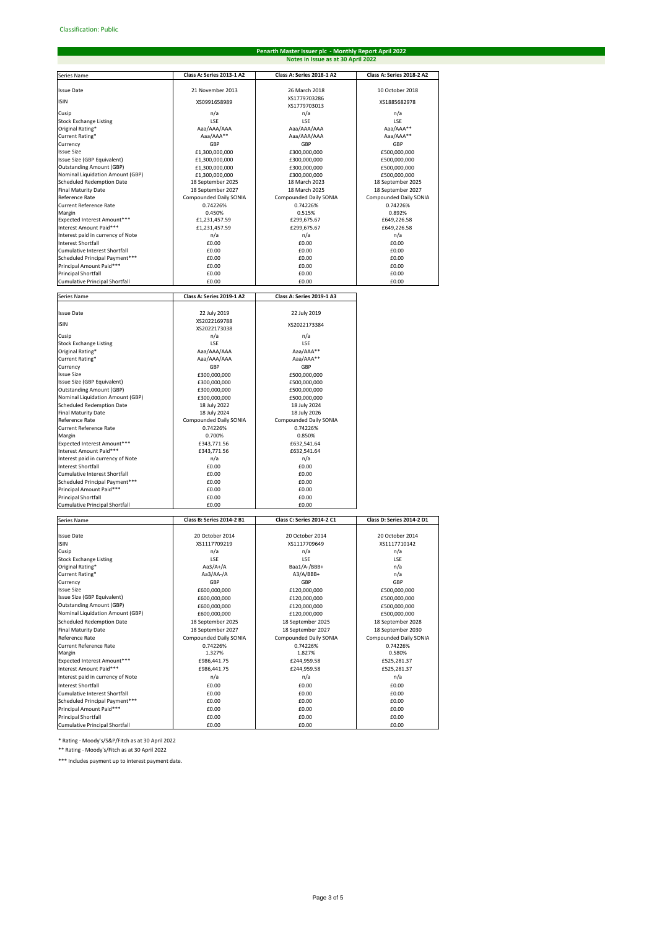# **Penarth Master Issuer plc - Monthly Report April 2022 Notes in Issue as at 30 April 2022**

| Series Name                                                  | Class A: Series 2013-1 A2                   | Class A: Series 2018-1 A2                 | Class A: Series 2018-2 A2                   |
|--------------------------------------------------------------|---------------------------------------------|-------------------------------------------|---------------------------------------------|
| <b>Issue Date</b>                                            | 21 November 2013                            | 26 March 2018                             | 10 October 2018                             |
| <b>ISIN</b>                                                  | XS0991658989                                | XS1779703286                              | XS1885682978                                |
|                                                              |                                             | XS1779703013                              |                                             |
| Cusip<br><b>Stock Exchange Listing</b>                       | n/a<br>LSE                                  | n/a<br>LSE                                | n/a<br>LSE                                  |
| Original Rating*                                             | Aaa/AAA/AAA                                 | Aaa/AAA/AAA                               | Aaa/AAA**                                   |
| Current Rating*                                              | Aaa/AAA**                                   | Aaa/AAA/AAA                               | Aaa/AAA**                                   |
| Currency                                                     | GBP                                         | GBP                                       | GBP                                         |
| <b>Issue Size</b><br>Issue Size (GBP Equivalent)             | £1,300,000,000<br>£1,300,000,000            | £300,000,000<br>£300,000,000              | £500,000,000<br>£500,000,000                |
| <b>Outstanding Amount (GBP)</b>                              | £1,300,000,000                              | £300,000,000                              | £500,000,000                                |
| Nominal Liquidation Amount (GBP)                             | £1,300,000,000                              | £300.000.000                              | £500,000,000                                |
| Scheduled Redemption Date                                    | 18 September 2025                           | 18 March 2023                             | 18 September 2025                           |
| <b>Final Maturity Date</b><br>Reference Rate                 | 18 September 2027<br>Compounded Daily SONIA | 18 March 2025<br>Compounded Daily SONIA   | 18 September 2027<br>Compounded Daily SONIA |
| <b>Current Reference Rate</b>                                | 0.74226%                                    | 0.74226%                                  | 0.74226%                                    |
| Margin                                                       | 0.450%                                      | 0.515%                                    | 0.892%                                      |
| Expected Interest Amount***                                  | £1,231,457.59                               | £299,675.67                               | £649,226.58                                 |
| Interest Amount Paid***<br>Interest paid in currency of Note | £1,231,457.59<br>n/a                        | £299,675.67<br>n/a                        | £649,226.58<br>n/a                          |
| <b>Interest Shortfall</b>                                    | £0.00                                       | £0.00                                     | £0.00                                       |
| Cumulative Interest Shortfall                                | £0.00                                       | £0.00                                     | £0.00                                       |
| Scheduled Principal Payment***                               | £0.00                                       | £0.00                                     | £0.00                                       |
| Principal Amount Paid***<br><b>Principal Shortfall</b>       | £0.00<br>£0.00                              | £0.00<br>£0.00                            | £0.00<br>£0.00                              |
| <b>Cumulative Principal Shortfall</b>                        | £0.00                                       | £0.00                                     | £0.00                                       |
|                                                              |                                             |                                           |                                             |
| Series Name                                                  | Class A: Series 2019-1 A2                   | Class A: Series 2019-1 A3                 |                                             |
| <b>Issue Date</b>                                            | 22 July 2019                                | 22 July 2019                              |                                             |
| <b>ISIN</b>                                                  | XS2022169788<br>XS2022173038                | XS2022173384                              |                                             |
| Cusip                                                        | n/a                                         | n/a                                       |                                             |
| <b>Stock Exchange Listing</b>                                | LSE                                         | LSE                                       |                                             |
| Original Rating*                                             | Aaa/AAA/AAA                                 | Aaa/AAA**                                 |                                             |
| Current Rating*<br>Currencv                                  | Aaa/AAA/AAA<br>GBP                          | Aaa/AAA**<br>GBP                          |                                             |
| <b>Issue Size</b>                                            | £300.000.000                                | £500,000,000                              |                                             |
| Issue Size (GBP Equivalent)                                  | £300,000,000                                | £500,000,000                              |                                             |
| <b>Outstanding Amount (GBP)</b>                              | £300,000,000                                | £500,000,000                              |                                             |
| Nominal Liquidation Amount (GBP)                             | £300,000,000                                | £500,000,000                              |                                             |
| Scheduled Redemption Date<br><b>Final Maturity Date</b>      | 18 July 2022<br>18 July 2024                | 18 July 2024<br>18 July 2026              |                                             |
| Reference Rate                                               | Compounded Daily SONIA                      | Compounded Daily SONIA                    |                                             |
| <b>Current Reference Rate</b>                                | 0.74226%                                    | 0.74226%                                  |                                             |
| Margin                                                       | 0.700%                                      | 0.850%                                    |                                             |
| Expected Interest Amount***<br>Interest Amount Paid***       | £343,771.56<br>£343,771.56                  | £632,541.64<br>£632,541.64                |                                             |
| Interest paid in currency of Note                            | n/a                                         | n/a                                       |                                             |
| <b>Interest Shortfall</b>                                    | £0.00                                       | £0.00                                     |                                             |
| Cumulative Interest Shortfall                                | £0.00                                       | £0.00                                     |                                             |
| Scheduled Principal Payment***<br>Principal Amount Paid***   | £0.00<br>£0.00                              | £0.00<br>£0.00                            |                                             |
| <b>Principal Shortfall</b>                                   | £0.00                                       | £0.00                                     |                                             |
| Cumulative Principal Shortfall                               | £0.00                                       | £0.00                                     |                                             |
| Series Name                                                  | Class B: Series 2014-2 B1                   | Class C: Series 2014-2 C1                 | Class D: Series 2014-2 D1                   |
|                                                              |                                             |                                           |                                             |
| <b>Issue Date</b>                                            | 20 October 2014                             | 20 October 2014                           | 20 October 2014                             |
| <b>ISIN</b>                                                  | XS1117709219                                | XS1117709649                              | XS1117710142                                |
| Cusip<br><b>Stock Exchange Listing</b>                       | n/a<br>LSE                                  | n/a<br>LSE                                | n/a<br>LSE                                  |
| Original Rating*                                             | Aa3/A+/A                                    | Baa1/A-/BBB+                              | n/a                                         |
| Current Rating*                                              | Aa3/AA-/A                                   | A3/A/BBB+                                 | n/a                                         |
| Currency<br><b>Issue Size</b>                                | GBP                                         | GBP                                       | GBP                                         |
| Issue Size (GBP Equivalent)                                  | £600,000,000<br>£600,000,000                | £120,000,000<br>£120,000,000              | £500,000,000<br>£500,000,000                |
| <b>Outstanding Amount (GBP)</b>                              | £600,000,000                                | £120,000,000                              | £500,000,000                                |
| Nominal Liquidation Amount (GBP)                             | £600,000,000                                | £120,000,000                              | £500,000,000                                |
| <b>Scheduled Redemption Date</b>                             | 18 September 2025                           | 18 September 2025                         | 18 September 2028                           |
| <b>Final Maturity Date</b><br>Reference Rate                 | 18 September 2027                           | 18 September 2027                         | 18 September 2030                           |
| <b>Current Reference Rate</b>                                | Compounded Daily SONIA<br>0.74226%          | <b>Compounded Daily SONIA</b><br>0.74226% | Compounded Daily SONIA<br>0.74226%          |
| Margin                                                       | 1.327%                                      | 1.827%                                    | 0.580%                                      |
| Expected Interest Amount***                                  | £986,441.75                                 | £244,959.58                               | £525,281.37                                 |
| Interest Amount Paid***                                      | £986,441.75                                 | £244,959.58                               | £525,281.37                                 |
| Interest paid in currency of Note                            | n/a                                         | n/a                                       | n/a                                         |
| <b>Interest Shortfall</b><br>Cumulative Interest Shortfall   | £0.00<br>£0.00                              | £0.00<br>£0.00                            | £0.00<br>£0.00                              |
| Scheduled Principal Payment***                               | £0.00                                       | £0.00                                     | £0.00                                       |
| Principal Amount Paid***                                     | £0.00                                       | £0.00                                     | £0.00                                       |
| <b>Principal Shortfall</b>                                   | £0.00                                       | £0.00                                     | £0.00                                       |
| Cumulative Principal Shortfall                               | £0.00                                       | £0.00                                     | £0.00                                       |

\* Rating - Moody's/S&P/Fitch as at 30 April 2022

\*\* Rating - Moody's/Fitch as at 30 April 2022

\*\*\* Includes payment up to interest payment date.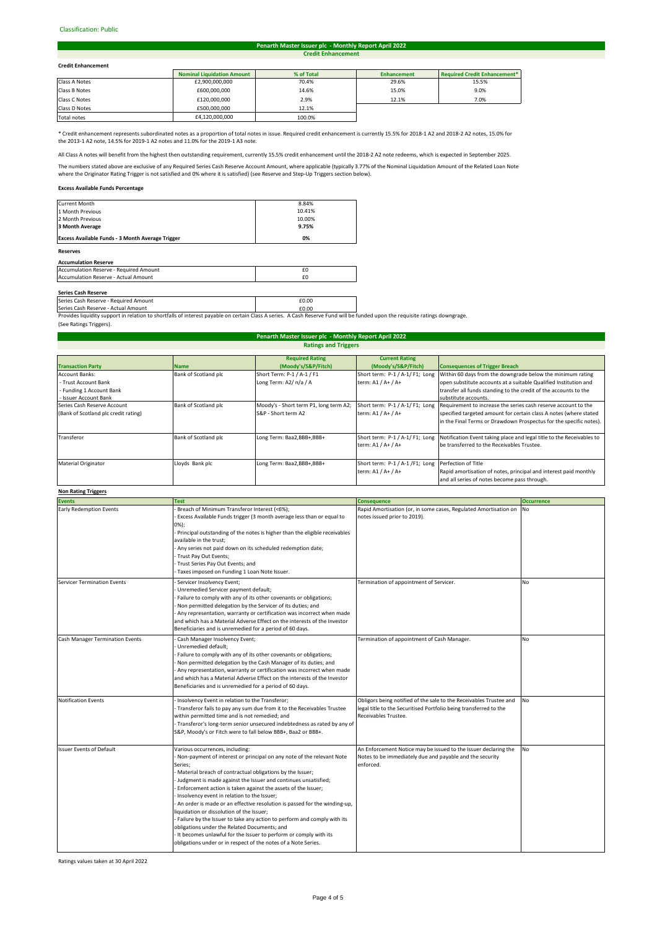### Classification: Public#

#### **Credit Enhancement Penarth Master Issuer plc - Monthly Report April 2022**

# **Credit Enhancement**

| <b>Credit Enhancement</b> |                                   |            |                    |                              |
|---------------------------|-----------------------------------|------------|--------------------|------------------------------|
|                           | <b>Nominal Liquidation Amount</b> | % of Total | <b>Enhancement</b> | Required Credit Enhancement* |
| Class A Notes             | £2,900,000,000                    | 70.4%      | 29.6%              | 15.5%                        |
| Class B Notes             | £600,000,000                      | 14.6%      | 15.0%              | 9.0%                         |
| Class C Notes             | £120,000,000                      | 2.9%       | 12.1%              | 7.0%                         |
| Class D Notes             | £500,000,000                      | 12.1%      |                    |                              |
|                           |                                   |            |                    |                              |

Total notes **E4,120,000,000** 100.0% **I** 

\* Credit enhancement represents subordinated notes as a proportion of total notes in issue. Required credit enhancement is currently 15.5% for 2018-1 A2 and 2018-2 A2 notes, 15.0% for the 2013-1 A2 note, 14.5% for 2019-1 A2 notes and 11.0% for the 2019-1 A3 note.

All Class A notes will benefit from the highest then outstanding requirement, currently 15.5% credit enhancement until the 2018-2 A2 note redeems, which is expected in September 2025.

The numbers stated above are exclusive of any Required Series Cash Reserve Account Amount, where applicable (typically 3.77% of the Nominal Liquidation Amount of the Related Loan Note<br>where the Originator Rating Trigger is

# **Excess Available Funds Percentage**

| <b>Reserves</b>                                  |        |
|--------------------------------------------------|--------|
| Excess Available Funds - 3 Month Average Trigger | 0%     |
| 3 Month Average                                  | 9.75%  |
| 2 Month Previous                                 | 10.00% |
| 1 Month Previous                                 | 10.41% |
| <b>Current Month</b>                             | 8.84%  |

### **Accumulation Reserve**

| Accumulation Reserve - Required Amount      |  |
|---------------------------------------------|--|
| <b>Accumulation Reserve - Actual Amount</b> |  |
|                                             |  |

**Series Cash Reserve**<br>Series Cash Reserve - Required Amount **£0.00 Example 2.000 Example 2.000** Series Cash Reserve - Actual Amount **2008** 2010 2021 2022 2023 2024 2024 2022 2023 2024 2022 2023 2024 2022 2023

Provides liquidity support in relation to shortfalls of interest payable on certain Class A series. A Cash Reserve Fund will be funded upon the requisite ratings downgrage. (See Ratings Triggers).

| <b>Ratings and Triggers</b>          |                      |                                        |                                 |                                                                       |  |
|--------------------------------------|----------------------|----------------------------------------|---------------------------------|-----------------------------------------------------------------------|--|
|                                      |                      | <b>Required Rating</b>                 | <b>Current Rating</b>           |                                                                       |  |
| <b>Transaction Party</b>             | <b>Name</b>          | (Moody's/S&P/Fitch)                    | (Moody's/S&P/Fitch)             | <b>Consequences of Trigger Breach</b>                                 |  |
| Account Banks:                       | Bank of Scotland plc | Short Term: P-1 / A-1 / F1             | Short term: P-1 / A-1/ F1; Long | Within 60 days from the downgrade below the minimum rating            |  |
| - Trust Account Bank                 |                      | Long Term: A2/ n/a / A                 | term: A1 / A+ / A+              | open substitute accounts at a suitable Qualified Institution and      |  |
| - Funding 1 Account Bank             |                      |                                        |                                 | transfer all funds standing to the credit of the accounts to the      |  |
| - Issuer Account Bank                |                      |                                        |                                 | substitute accounts.                                                  |  |
| Series Cash Reserve Account          | Bank of Scotland plc | Moody's - Short term P1, long term A2; | Short term: P-1 / A-1/ F1; Long | Requirement to increase the series cash reserve account to the        |  |
| (Bank of Scotland plc credit rating) |                      | S&P - Short term A2                    | term: A1 / A+ / A+              | specified targeted amount for certain class A notes (where stated     |  |
|                                      |                      |                                        |                                 | in the Final Terms or Drawdown Prospectus for the specific notes).    |  |
| Transferor                           | Bank of Scotland plc | Long Term: Baa2,BBB+,BBB+              | Short term: P-1 / A-1/F1; Long  | Notification Event taking place and legal title to the Receivables to |  |
|                                      |                      |                                        | term: A1 / A+ / A+              | be transferred to the Receivables Trustee.                            |  |
| <b>Material Originator</b>           | Lloyds Bank plc      | Long Term: Baa2,BBB+,BBB+              | Short term: P-1 / A-1 /F1; Long | Perfection of Title                                                   |  |
|                                      |                      |                                        | term: A1 / A+ / A+              | Rapid amortisation of notes, principal and interest paid monthly      |  |
|                                      |                      |                                        |                                 | and all series of notes become pass through.                          |  |
|                                      |                      |                                        |                                 |                                                                       |  |

**Penarth Master Issuer plc - Monthly Report April 2022**

# **Non Rating Triggers**

| <b>Events</b>                          | <b>Test</b>                                                                                                                                                                                                                                                                                                                                                                                                                                                                                                                                                                                                                                                                                                                                                   | <b>Consequence</b>                                                                                                                                              | <b>Occurrence</b> |
|----------------------------------------|---------------------------------------------------------------------------------------------------------------------------------------------------------------------------------------------------------------------------------------------------------------------------------------------------------------------------------------------------------------------------------------------------------------------------------------------------------------------------------------------------------------------------------------------------------------------------------------------------------------------------------------------------------------------------------------------------------------------------------------------------------------|-----------------------------------------------------------------------------------------------------------------------------------------------------------------|-------------------|
| <b>Early Redemption Events</b>         | Breach of Minimum Transferor Interest (<6%);<br>Excess Available Funds trigger (3 month average less than or equal to<br>0%);<br>Principal outstanding of the notes is higher than the eligible receivables<br>available in the trust;<br>Any series not paid down on its scheduled redemption date;<br>Trust Pay Out Events;<br>Trust Series Pay Out Events; and<br>Taxes imposed on Funding 1 Loan Note Issuer.                                                                                                                                                                                                                                                                                                                                             | Rapid Amortisation (or, in some cases, Regulated Amortisation on<br>notes issued prior to 2019).                                                                | No                |
| <b>Servicer Termination Events</b>     | Servicer Insolvency Event;<br>Unremedied Servicer payment default;<br>Failure to comply with any of its other covenants or obligations;<br>Non permitted delegation by the Servicer of its duties; and<br>Any representation, warranty or certification was incorrect when made<br>and which has a Material Adverse Effect on the interests of the Investor<br>Beneficiaries and is unremedied for a period of 60 days.                                                                                                                                                                                                                                                                                                                                       | Termination of appointment of Servicer.                                                                                                                         | No                |
| <b>Cash Manager Termination Events</b> | Cash Manager Insolvency Event;<br>Unremedied default;<br>Failure to comply with any of its other covenants or obligations;<br>Non permitted delegation by the Cash Manager of its duties; and<br>Any representation, warranty or certification was incorrect when made<br>and which has a Material Adverse Effect on the interests of the Investor<br>Beneficiaries and is unremedied for a period of 60 days.                                                                                                                                                                                                                                                                                                                                                | Termination of appointment of Cash Manager.                                                                                                                     | No                |
| <b>Notification Events</b>             | Insolvency Event in relation to the Transferor;<br>Transferor fails to pay any sum due from it to the Receivables Trustee<br>within permitted time and is not remedied; and<br>- Transferor's long-term senior unsecured indebtedness as rated by any of<br>S&P, Moody's or Fitch were to fall below BBB+, Baa2 or BBB+.                                                                                                                                                                                                                                                                                                                                                                                                                                      | Obligors being notified of the sale to the Receivables Trustee and<br>legal title to the Securitised Portfolio being transferred to the<br>Receivables Trustee. | No                |
| <b>Issuer Events of Default</b>        | Various occurrences, including:<br>Non-payment of interest or principal on any note of the relevant Note<br>Series;<br>Material breach of contractual obligations by the Issuer;<br>Judgment is made against the Issuer and continues unsatisfied;<br>Enforcement action is taken against the assets of the Issuer;<br>Insolvency event in relation to the Issuer;<br>An order is made or an effective resolution is passed for the winding-up,<br>liquidation or dissolution of the Issuer;<br>Failure by the Issuer to take any action to perform and comply with its<br>obligations under the Related Documents; and<br>It becomes unlawful for the Issuer to perform or comply with its<br>obligations under or in respect of the notes of a Note Series. | An Enforcement Notice may be issued to the Issuer declaring the<br>Notes to be immediately due and payable and the security<br>enforced.                        | <b>No</b>         |

Ratings values taken at 30 April 2022